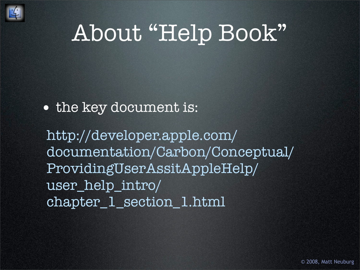

### About "Help Book"

#### • the key document is:

[http://developer.apple.com/](http://developer.apple.com/documentation/Carbon/Conceptual/ProvidingUserAssitAppleHelp/user_help_intro/chapter_1_section_1.html) [documentation/Carbon/Conceptual/](http://developer.apple.com/documentation/Carbon/Conceptual/ProvidingUserAssitAppleHelp/user_help_intro/chapter_1_section_1.html) [ProvidingUserAssitAppleHelp/](http://developer.apple.com/documentation/Carbon/Conceptual/ProvidingUserAssitAppleHelp/user_help_intro/chapter_1_section_1.html) [user\\_help\\_intro/](http://developer.apple.com/documentation/Carbon/Conceptual/ProvidingUserAssitAppleHelp/user_help_intro/chapter_1_section_1.html) [chapter\\_1\\_section\\_1.html](http://developer.apple.com/documentation/Carbon/Conceptual/ProvidingUserAssitAppleHelp/user_help_intro/chapter_1_section_1.html)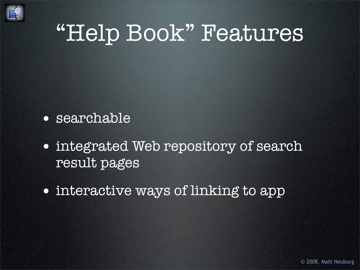

#### "Help Book" Features

- searchable
- integrated Web repository of search result pages
- interactive ways of linking to app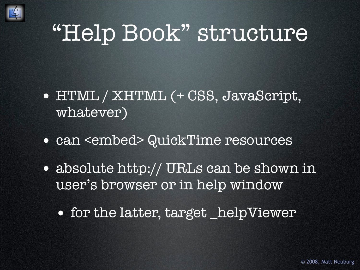

### "Help Book" structure

- HTML / XHTML (+ CSS, JavaScript, whatever)
- can <embed> QuickTime resources
- absolute http:// URLs can be shown in user's browser or in help window
	- for the latter, target \_helpViewer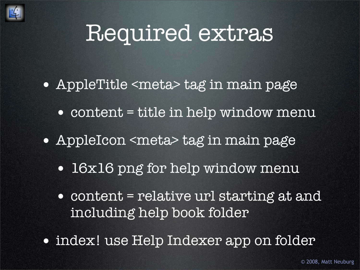

#### Required extras

- AppleTitle <meta> tag in main page
	- content = title in help window menu
- AppleIcon <meta> tag in main page
	- 16x16 png for help window menu
	- content = relative url starting at and including help book folder
- index! use Help Indexer app on folder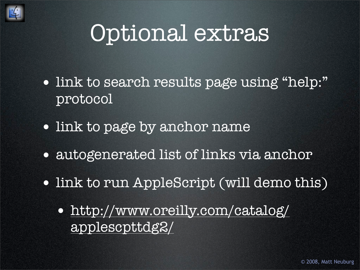

#### Optional extras

- link to search results page using "help:" protocol
- link to page by anchor name
- autogenerated list of links via anchor
- link to run AppleScript (will demo this)
	- [http://www.oreilly.com/catalog/](http://www.oreilly.com/catalog/applescpttdg2/) [applescpttdg2/](http://www.oreilly.com/catalog/applescpttdg2/)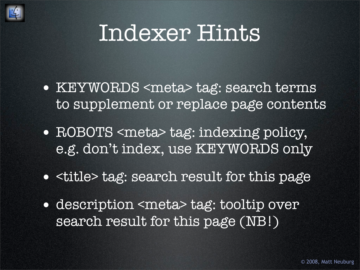

#### Indexer Hints

- KEYWORDS <meta> tag: search terms to supplement or replace page contents
- ROBOTS <meta> tag: indexing policy, e.g. don't index, use KEYWORDS only
- <title> tag: search result for this page
- description <meta> tag: tooltip over search result for this page (NB!)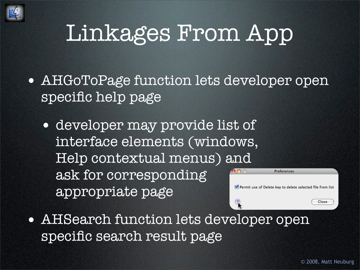

## Linkages From App

- AHGoToPage function lets developer open specific help page
	- developer may provide list of interface elements (windows, Help contextual menus) and ask for corresponding appropriate page



• AHSearch function lets developer open specific search result page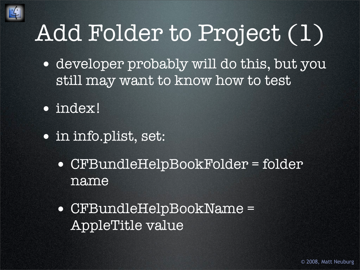

# Add Folder to Project (1)

- developer probably will do this, but you still may want to know how to test
- index!
- in info.plist, set:
	- CFBundleHelpBookFolder = folder name
	- CFBundleHelpBookName = AppleTitle value